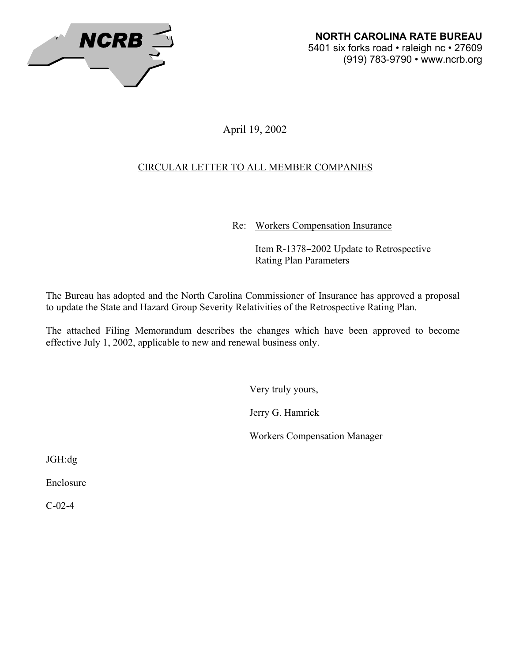

April 19, 2002

# CIRCULAR LETTER TO ALL MEMBER COMPANIES

Re: Workers Compensation Insurance

Item R-1378-2002 Update to Retrospective Rating Plan Parameters

The Bureau has adopted and the North Carolina Commissioner of Insurance has approved a proposal to update the State and Hazard Group Severity Relativities of the Retrospective Rating Plan.

The attached Filing Memorandum describes the changes which have been approved to become effective July 1, 2002, applicable to new and renewal business only.

Very truly yours,

Jerry G. Hamrick

Workers Compensation Manager

JGH:dg

Enclosure

C-02-4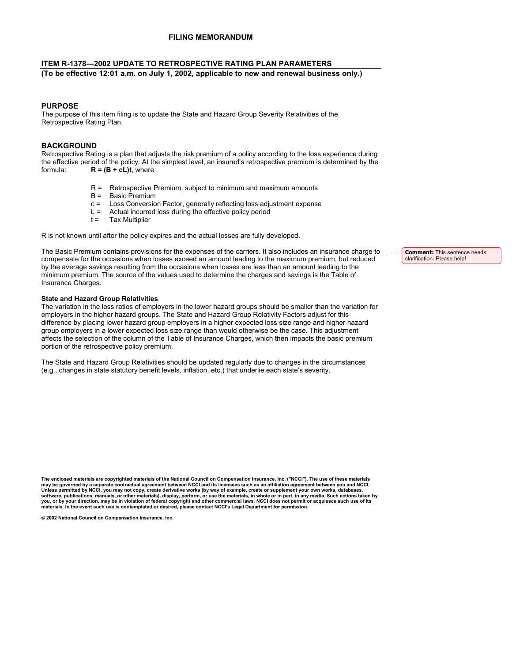### **FILING MEMORANDUM**

#### **ITEM R-1378—2002 UPDATE TO RETROSPECTIVE RATING PLAN PARAMETERS**

**(To be effective 12:01 a.m. on July 1, 2002, applicable to new and renewal business only.)** 

#### **PURPOSE**

The purpose of this item filing is to update the State and Hazard Group Severity Relativities of the Retrospective Rating Plan.

#### **BACKGROUND**

Retrospective Rating is a plan that adjusts the risk premium of a policy according to the loss experience during the effective period of the policy. At the simplest level, an insured's retrospective premium is determined by the formula:  $R = (B + cL)t$ , where

- R = Retrospective Premium, subject to minimum and maximum amounts
- B = Basic Premium
- c = Loss Conversion Factor, generally reflecting loss adjustment expense
- $L =$  Actual incurred loss during the effective policy period  $t =$  Tax Multiplier
- Tax Multiplier

R is not known until after the policy expires and the actual losses are fully developed.

The Basic Premium contains provisions for the expenses of the carriers. It also includes an insurance charge to compensate for the occasions when losses exceed an amount leading to the maximum premium, but reduced by the average savings resulting from the occasions when losses are less than an amount leading to the minimum premium. The source of the values used to determine the charges and savings is the Table of Insurance Charges.

#### **State and Hazard Group Relativities**

The variation in the loss ratios of employers in the lower hazard groups should be smaller than the variation for employers in the higher hazard groups. The State and Hazard Group Relativity Factors adjust for this difference by placing lower hazard group employers in a higher expected loss size range and higher hazard group employers in a lower expected loss size range than would otherwise be the case. This adjustment affects the selection of the column of the Table of Insurance Charges, which then impacts the basic premium portion of the retrospective policy premium.

The State and Hazard Group Relativities should be updated regularly due to changes in the circumstances (e.g., changes in state statutory benefit levels, inflation, etc.) that underlie each state's severity.

**The enclosed materials are copyrighted materials of the National Council on Compensation Insurance, Inc. ("NCCI"). The use of these materials may be governed by a separate contractual agreement between NCCI and its licensees such as an affiliation agreement between you and NCCI.**  Unless permitted by NCCI, you may not copy, create derivative works (by way of example, create or supplement your own works, databases,<br>software, publications, manuals, or other materials), display, perform, or use the mat **materials. In the event such use is contemplated or desired, please contact NCCI's Legal Department for permission.** 

**© 2002 National Council on Compensation Insurance, Inc.** 

**Comment:** This sentence needs clarification. Please help!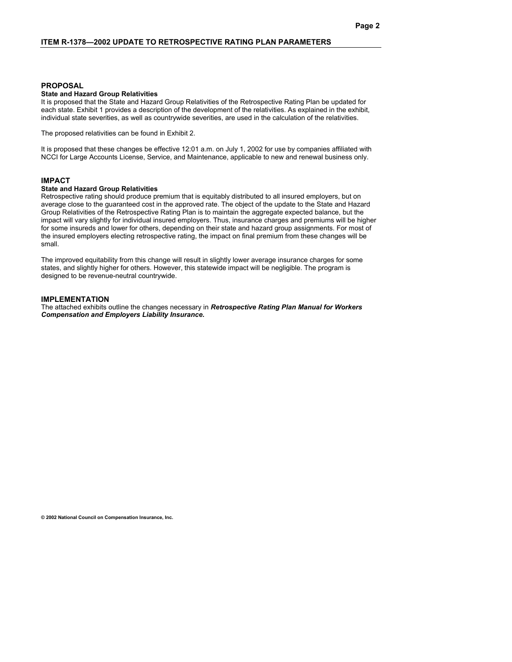#### **PROPOSAL**

#### **State and Hazard Group Relativities**

It is proposed that the State and Hazard Group Relativities of the Retrospective Rating Plan be updated for each state. Exhibit 1 provides a description of the development of the relativities. As explained in the exhibit, individual state severities, as well as countrywide severities, are used in the calculation of the relativities.

The proposed relativities can be found in Exhibit 2.

It is proposed that these changes be effective 12:01 a.m. on July 1, 2002 for use by companies affiliated with NCCI for Large Accounts License, Service, and Maintenance, applicable to new and renewal business only.

#### **IMPACT**

#### **State and Hazard Group Relativities**

Retrospective rating should produce premium that is equitably distributed to all insured employers, but on average close to the guaranteed cost in the approved rate. The object of the update to the State and Hazard Group Relativities of the Retrospective Rating Plan is to maintain the aggregate expected balance, but the impact will vary slightly for individual insured employers. Thus, insurance charges and premiums will be higher for some insureds and lower for others, depending on their state and hazard group assignments. For most of the insured employers electing retrospective rating, the impact on final premium from these changes will be small.

The improved equitability from this change will result in slightly lower average insurance charges for some states, and slightly higher for others. However, this statewide impact will be negligible. The program is designed to be revenue-neutral countrywide.

#### **IMPLEMENTATION**

The attached exhibits outline the changes necessary in *Retrospective Rating Plan Manual for Workers Compensation and Employers Liability Insurance.* 

**© 2002 National Council on Compensation Insurance, Inc.**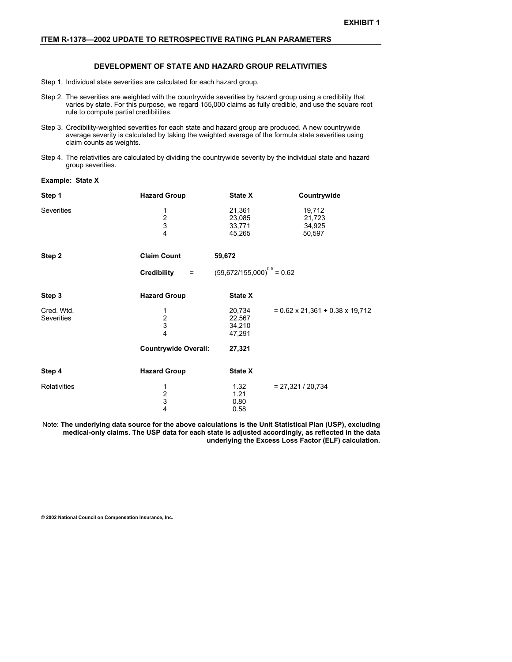#### **ITEM R-1378—2002 UPDATE TO RETROSPECTIVE RATING PLAN PARAMETERS**

#### **DEVELOPMENT OF STATE AND HAZARD GROUP RELATIVITIES**

- Step 1. Individual state severities are calculated for each hazard group.
- Step 2. The severities are weighted with the countrywide severities by hazard group using a credibility that varies by state. For this purpose, we regard 155,000 claims as fully credible, and use the square root rule to compute partial credibilities.
- Step 3. Credibility-weighted severities for each state and hazard group are produced. A new countrywide average severity is calculated by taking the weighted average of the formula state severities using claim counts as weights.
- Step 4. The relativities are calculated by dividing the countrywide severity by the individual state and hazard group severities.

**Example: State X**

| Step 1                          | <b>Hazard Group</b>                           | State X                              | Countrywide                                 |
|---------------------------------|-----------------------------------------------|--------------------------------------|---------------------------------------------|
| Severities                      | 1<br>$\frac{2}{3}$<br>$\overline{\mathbf{4}}$ | 21,361<br>23,085<br>33,771<br>45,265 | 19,712<br>21,723<br>34,925<br>50,597        |
| Step 2                          | <b>Claim Count</b>                            | 59,672                               |                                             |
|                                 | Credibility<br>$\equiv$ 100 $\pm$             | $(59,672/155,000)^{0.5} = 0.62$      |                                             |
| Step 3                          | <b>Hazard Group</b>                           | <b>State X</b>                       |                                             |
| Cred. Wtd.<br><b>Severities</b> | 1<br>$\frac{2}{3}$<br>$\overline{\mathbf{4}}$ | 20,734<br>22,567<br>34,210<br>47,291 | $= 0.62 \times 21,361 + 0.38 \times 19,712$ |
|                                 | <b>Countrywide Overall:</b>                   | 27,321                               |                                             |
| Step 4                          | <b>Hazard Group</b>                           | <b>State X</b>                       |                                             |
| <b>Relativities</b>             | 1<br>$\frac{2}{3}$<br>$\overline{\mathbf{4}}$ | 1.32<br>1.21<br>0.80<br>0.58         | $= 27,321 / 20,734$                         |

Note: **The underlying data source for the above calculations is the Unit Statistical Plan (USP), excluding medical-only claims. The USP data for each state is adjusted accordingly, as reflected in the data underlying the Excess Loss Factor (ELF) calculation.** 

**© 2002 National Council on Compensation Insurance, Inc.**